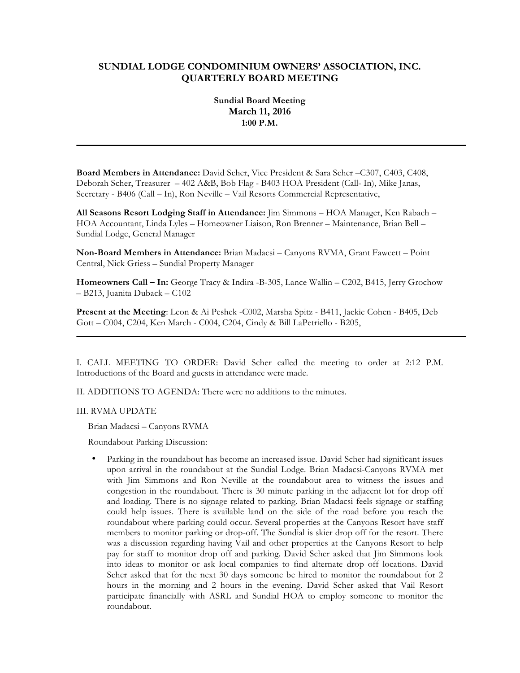# **SUNDIAL LODGE CONDOMINIUM OWNERS' ASSOCIATION, INC. QUARTERLY BOARD MEETING**

# **Sundial Board Meeting March 11, 2016 1:00 P.M.**

**Board Members in Attendance:** David Scher, Vice President & Sara Scher –C307, C403, C408, Deborah Scher, Treasurer – 402 A&B, Bob Flag - B403 HOA President (Call- In), Mike Janas, Secretary - B406 (Call – In), Ron Neville – Vail Resorts Commercial Representative,

**All Seasons Resort Lodging Staff in Attendance:** Jim Simmons – HOA Manager, Ken Rabach – HOA Accountant, Linda Lyles – Homeowner Liaison, Ron Brenner – Maintenance, Brian Bell – Sundial Lodge, General Manager

**Non-Board Members in Attendance:** Brian Madacsi – Canyons RVMA, Grant Fawcett – Point Central, Nick Griess – Sundial Property Manager

**Homeowners Call – In:** George Tracy & Indira -B-305, Lance Wallin – C202, B415, Jerry Grochow – B213, Juanita Duback – C102

**Present at the Meeting**: Leon & Ai Peshek -C002, Marsha Spitz - B411, Jackie Cohen - B405, Deb Gott – C004, C204, Ken March - C004, C204, Cindy & Bill LaPetriello - B205,

I. CALL MEETING TO ORDER: David Scher called the meeting to order at 2:12 P.M. Introductions of the Board and guests in attendance were made.

II. ADDITIONS TO AGENDA: There were no additions to the minutes.

III. RVMA UPDATE

Brian Madacsi – Canyons RVMA

Roundabout Parking Discussion:

• Parking in the roundabout has become an increased issue. David Scher had significant issues upon arrival in the roundabout at the Sundial Lodge. Brian Madacsi-Canyons RVMA met with Jim Simmons and Ron Neville at the roundabout area to witness the issues and congestion in the roundabout. There is 30 minute parking in the adjacent lot for drop off and loading. There is no signage related to parking. Brian Madacsi feels signage or staffing could help issues. There is available land on the side of the road before you reach the roundabout where parking could occur. Several properties at the Canyons Resort have staff members to monitor parking or drop-off. The Sundial is skier drop off for the resort. There was a discussion regarding having Vail and other properties at the Canyons Resort to help pay for staff to monitor drop off and parking. David Scher asked that Jim Simmons look into ideas to monitor or ask local companies to find alternate drop off locations. David Scher asked that for the next 30 days someone be hired to monitor the roundabout for 2 hours in the morning and 2 hours in the evening. David Scher asked that Vail Resort participate financially with ASRL and Sundial HOA to employ someone to monitor the roundabout.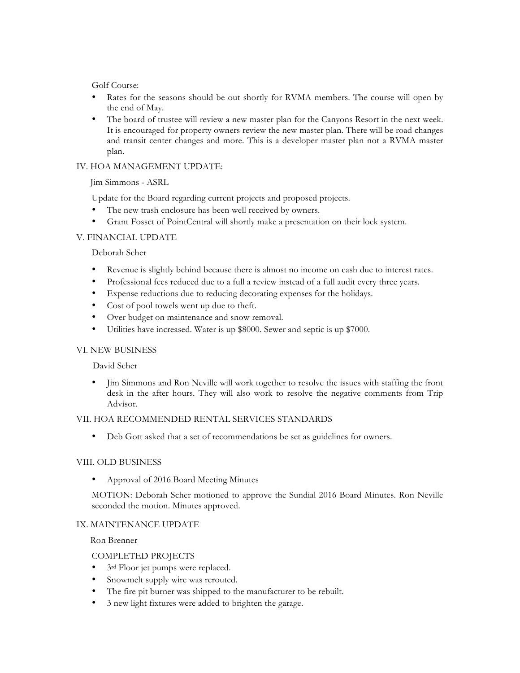Golf Course:

- Rates for the seasons should be out shortly for RVMA members. The course will open by the end of May.
- The board of trustee will review a new master plan for the Canyons Resort in the next week. It is encouraged for property owners review the new master plan. There will be road changes and transit center changes and more. This is a developer master plan not a RVMA master plan.

## IV. HOA MANAGEMENT UPDATE:

Jim Simmons - ASRL

Update for the Board regarding current projects and proposed projects.

- The new trash enclosure has been well received by owners.
- Grant Fosset of PointCentral will shortly make a presentation on their lock system.

## V. FINANCIAL UPDATE

### Deborah Scher

- Revenue is slightly behind because there is almost no income on cash due to interest rates.
- Professional fees reduced due to a full a review instead of a full audit every three years.
- Expense reductions due to reducing decorating expenses for the holidays.
- Cost of pool towels went up due to theft.
- Over budget on maintenance and snow removal.
- Utilities have increased. Water is up \$8000. Sewer and septic is up \$7000.

#### VI. NEW BUSINESS

#### David Scher

• Jim Simmons and Ron Neville will work together to resolve the issues with staffing the front desk in the after hours. They will also work to resolve the negative comments from Trip Advisor.

#### VII. HOA RECOMMENDED RENTAL SERVICES STANDARDS

• Deb Gott asked that a set of recommendations be set as guidelines for owners.

#### VIII. OLD BUSINESS

• Approval of 2016 Board Meeting Minutes

MOTION: Deborah Scher motioned to approve the Sundial 2016 Board Minutes. Ron Neville seconded the motion. Minutes approved.

#### IX. MAINTENANCE UPDATE

Ron Brenner

#### COMPLETED PROJECTS

- 3<sup>rd</sup> Floor jet pumps were replaced.
- Snowmelt supply wire was rerouted.
- The fire pit burner was shipped to the manufacturer to be rebuilt.
- 3 new light fixtures were added to brighten the garage.